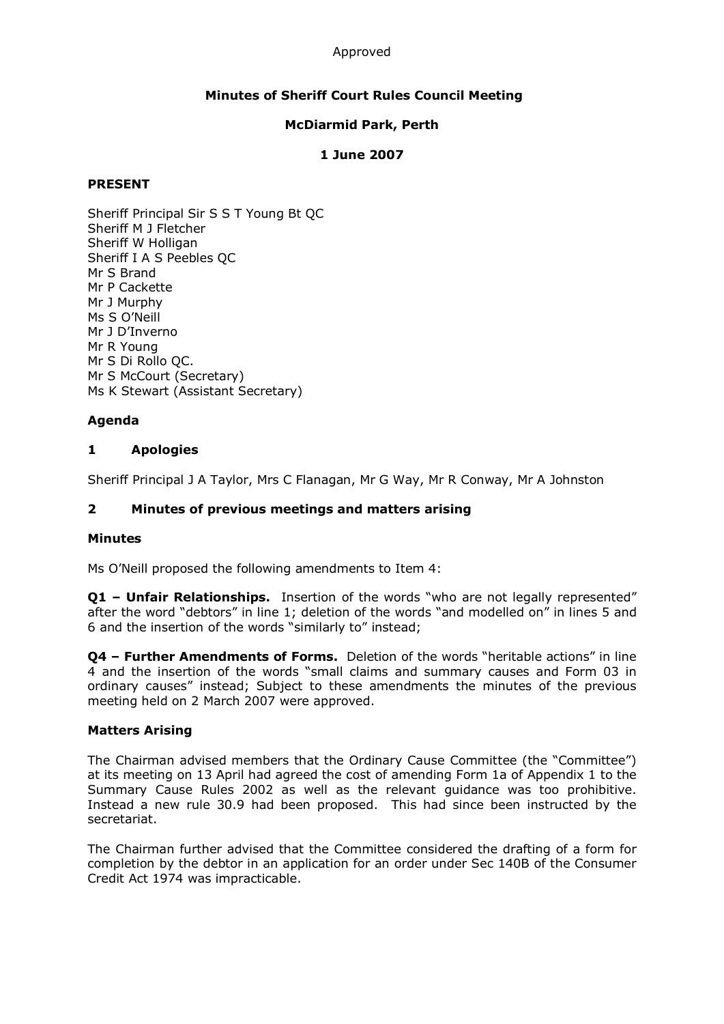#### Approved

# **Minutes of Sheriff Court Rules Council Meeting**

### **McDiarmid Park, Perth**

### **1 June 2007**

### **PRESENT**

Sheriff Principal Sir S S T Young Bt QC Sheriff M J Fletcher Sheriff W Holligan Sheriff I A S Peebles QC Mr S Brand Mr P Cackette Mr J Murphy Ms S O'Neill Mr J D'Inverno Mr R Young Mr S Di Rollo QC. Mr S McCourt (Secretary) Ms K Stewart (Assistant Secretary)

# **Agenda**

### **1 Apologies**

Sheriff Principal J A Taylor, Mrs C Flanagan, Mr G Way, Mr R Conway, Mr A Johnston

### **2 Minutes of previous meetings and matters arising**

#### **Minutes**

Ms O'Neill proposed the following amendments to Item 4:

**Q1 – Unfair Relationships.**  Insertion of the words "who are not legally represented" after the word "debtors" in line 1; deletion of the words "and modelled on" in lines 5 and 6 and the insertion of the words "similarly to" instead;

**Q4 – Further Amendments of Forms.**  Deletion of the words "heritable actions" in line 4 and the insertion of the words "small claims and summary causes and Form 03 in ordinary causes" instead; Subject to these amendments the minutes of the previous meeting held on 2 March 2007 were approved.

#### **Matters Arising**

The Chairman advised members that the Ordinary Cause Committee (the "Committee") at its meeting on 13 April had agreed the cost of amending Form 1a of Appendix 1 to the Summary Cause Rules 2002 as well as the relevant guidance was too prohibitive. Instead a new rule 30.9 had been proposed. This had since been instructed by the secretariat.

The Chairman further advised that the Committee considered the drafting of a form for completion by the debtor in an application for an order under Sec 140B of the Consumer Credit Act 1974 was impracticable.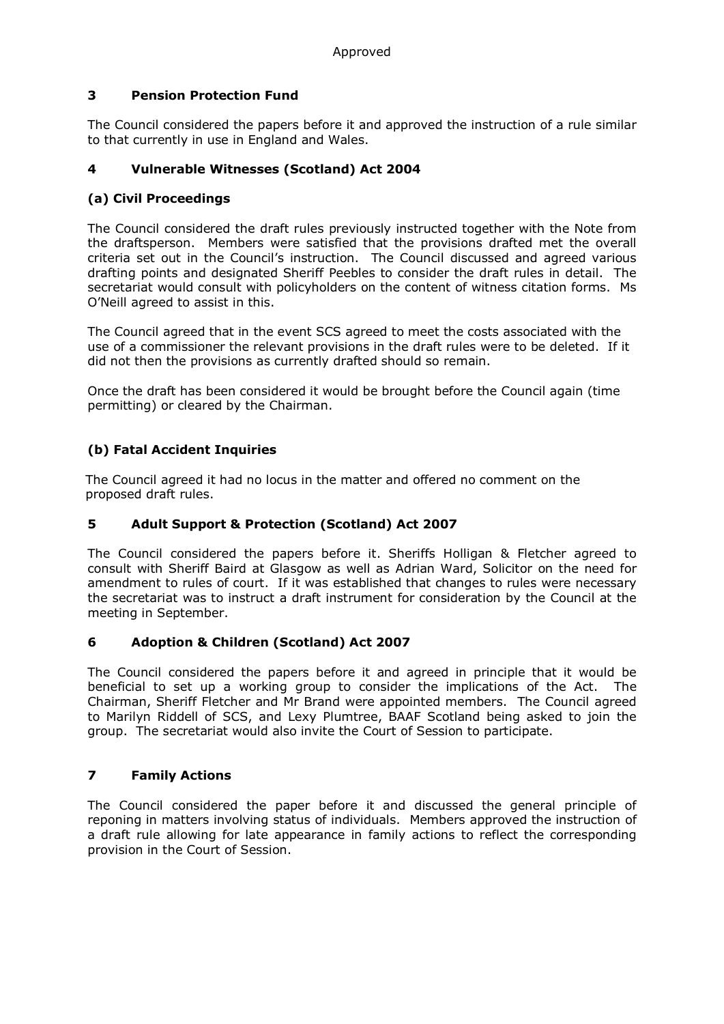# **3 Pension Protection Fund**

The Council considered the papers before it and approved the instruction of a rule similar to that currently in use in England and Wales.

# **4 Vulnerable Witnesses (Scotland) Act 2004**

# **(a) Civil Proceedings**

The Council considered the draft rules previously instructed together with the Note from the draftsperson. Members were satisfied that the provisions drafted met the overall criteria set out in the Council's instruction. The Council discussed and agreed various drafting points and designated Sheriff Peebles to consider the draft rules in detail. The secretariat would consult with policyholders on the content of witness citation forms. Ms O'Neill agreed to assist in this.

The Council agreed that in the event SCS agreed to meet the costs associated with the use of a commissioner the relevant provisions in the draft rules were to be deleted. If it did not then the provisions as currently drafted should so remain.

Once the draft has been considered it would be brought before the Council again (time permitting) or cleared by the Chairman.

# **(b) Fatal Accident Inquiries**

The Council agreed it had no locus in the matter and offered no comment on the proposed draft rules.

# **5 Adult Support & Protection (Scotland) Act 2007**

The Council considered the papers before it. Sheriffs Holligan & Fletcher agreed to consult with Sheriff Baird at Glasgow as well as Adrian Ward, Solicitor on the need for amendment to rules of court. If it was established that changes to rules were necessary the secretariat was to instruct a draft instrument for consideration by the Council at the meeting in September.

# **6 Adoption & Children (Scotland) Act 2007**

The Council considered the papers before it and agreed in principle that it would be beneficial to set up a working group to consider the implications of the Act. The Chairman, Sheriff Fletcher and Mr Brand were appointed members. The Council agreed to Marilyn Riddell of SCS, and Lexy Plumtree, BAAF Scotland being asked to join the group. The secretariat would also invite the Court of Session to participate.

# **7 Family Actions**

The Council considered the paper before it and discussed the general principle of reponing in matters involving status of individuals. Members approved the instruction of a draft rule allowing for late appearance in family actions to reflect the corresponding provision in the Court of Session.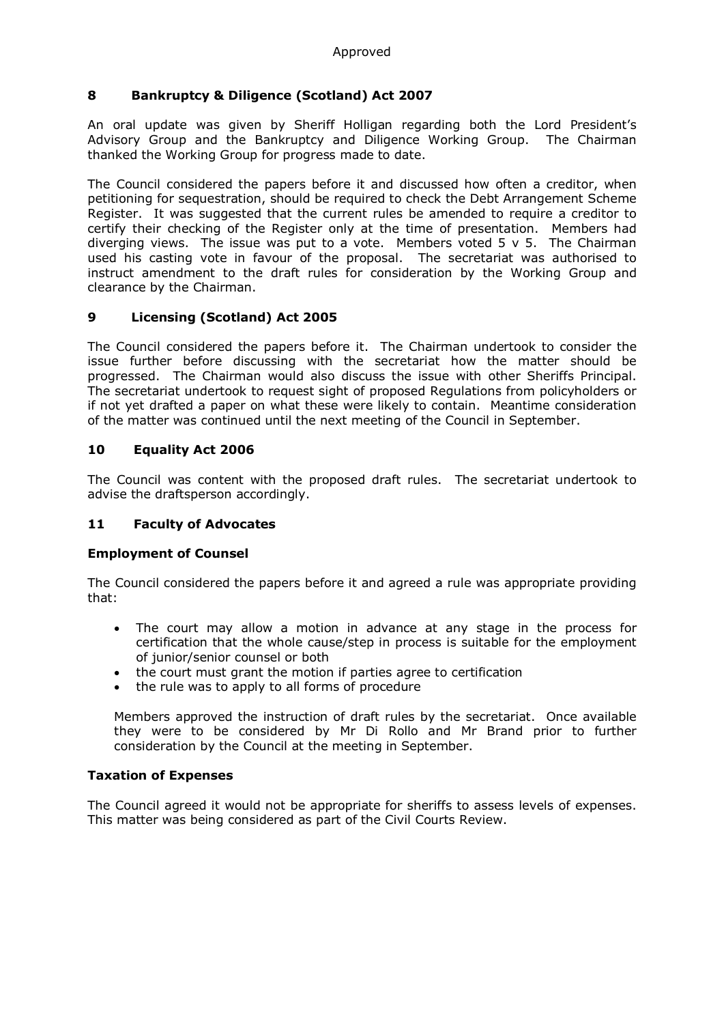# **8 Bankruptcy & Diligence (Scotland) Act 2007**

An oral update was given by Sheriff Holligan regarding both the Lord President's Advisory Group and the Bankruptcy and Diligence Working Group. The Chairman thanked the Working Group for progress made to date.

The Council considered the papers before it and discussed how often a creditor, when petitioning for sequestration, should be required to check the Debt Arrangement Scheme Register. It was suggested that the current rules be amended to require a creditor to certify their checking of the Register only at the time of presentation. Members had diverging views. The issue was put to a vote. Members voted  $5 \vee 5$ . The Chairman used his casting vote in favour of the proposal. The secretariat was authorised to instruct amendment to the draft rules for consideration by the Working Group and clearance by the Chairman.

# **9 Licensing (Scotland) Act 2005**

The Council considered the papers before it. The Chairman undertook to consider the issue further before discussing with the secretariat how the matter should be progressed. The Chairman would also discuss the issue with other Sheriffs Principal. The secretariat undertook to request sight of proposed Regulations from policyholders or if not yet drafted a paper on what these were likely to contain. Meantime consideration of the matter was continued until the next meeting of the Council in September.

# **10 Equality Act 2006**

The Council was content with the proposed draft rules. The secretariat undertook to advise the draftsperson accordingly.

# **11 Faculty of Advocates**

# **Employment of Counsel**

The Council considered the papers before it and agreed a rule was appropriate providing that:

- The court may allow a motion in advance at any stage in the process for certification that the whole cause/step in process is suitable for the employment of junior/senior counsel or both
- the court must grant the motion if parties agree to certification
- the rule was to apply to all forms of procedure

Members approved the instruction of draft rules by the secretariat. Once available they were to be considered by Mr Di Rollo and Mr Brand prior to further consideration by the Council at the meeting in September.

# **Taxation of Expenses**

The Council agreed it would not be appropriate for sheriffs to assess levels of expenses. This matter was being considered as part of the Civil Courts Review.